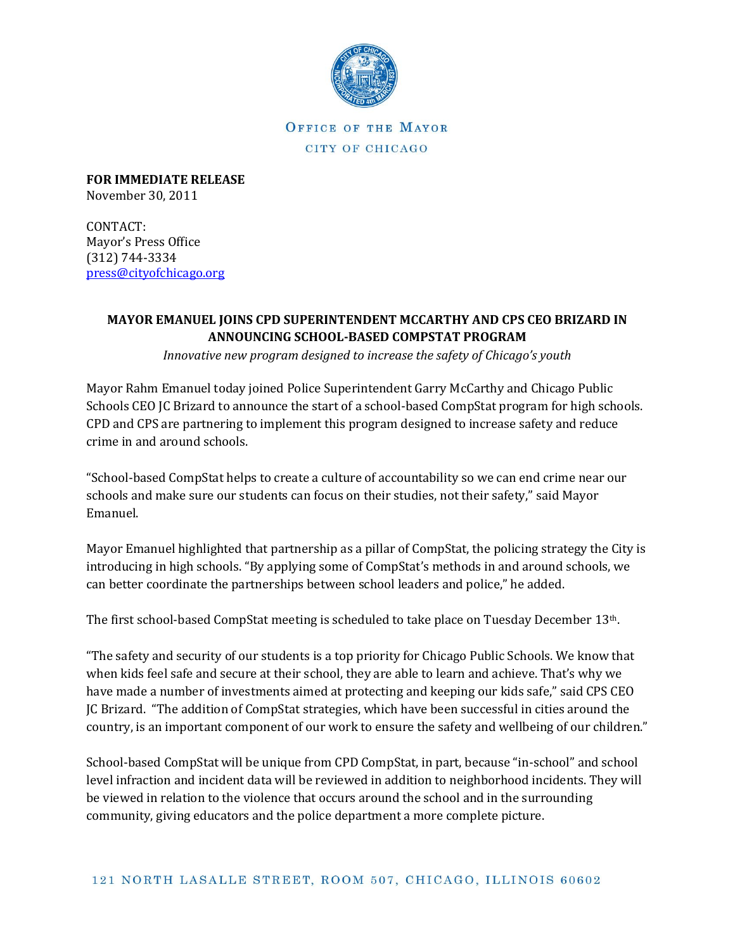

**OFFICE OF THE MAYOR** CITY OF CHICAGO

**FOR IMMEDIATE RELEASE** November 30, 2011

CONTACT: Mayor's Press Office (312) 744-3334 [press@cityofchicago.org](mailto:press@cityofchicago.org)

## **MAYOR EMANUEL JOINS CPD SUPERINTENDENT MCCARTHY AND CPS CEO BRIZARD IN ANNOUNCING SCHOOL-BASED COMPSTAT PROGRAM**

*Innovative new program designed to increase the safety of Chicago's youth*

Mayor Rahm Emanuel today joined Police Superintendent Garry McCarthy and Chicago Public Schools CEO JC Brizard to announce the start of a school-based CompStat program for high schools. CPD and CPS are partnering to implement this program designed to increase safety and reduce crime in and around schools.

"School-based CompStat helps to create a culture of accountability so we can end crime near our schools and make sure our students can focus on their studies, not their safety," said Mayor Emanuel.

Mayor Emanuel highlighted that partnership as a pillar of CompStat, the policing strategy the City is introducing in high schools. "By applying some of CompStat's methods in and around schools, we can better coordinate the partnerships between school leaders and police," he added.

The first school-based CompStat meeting is scheduled to take place on Tuesday December 13th.

"The safety and security of our students is a top priority for Chicago Public Schools. We know that when kids feel safe and secure at their school, they are able to learn and achieve. That's why we have made a number of investments aimed at protecting and keeping our kids safe," said CPS CEO JC Brizard. "The addition of CompStat strategies, which have been successful in cities around the country, is an important component of our work to ensure the safety and wellbeing of our children."

School-based CompStat will be unique from CPD CompStat, in part, because "in-school" and school level infraction and incident data will be reviewed in addition to neighborhood incidents. They will be viewed in relation to the violence that occurs around the school and in the surrounding community, giving educators and the police department a more complete picture.